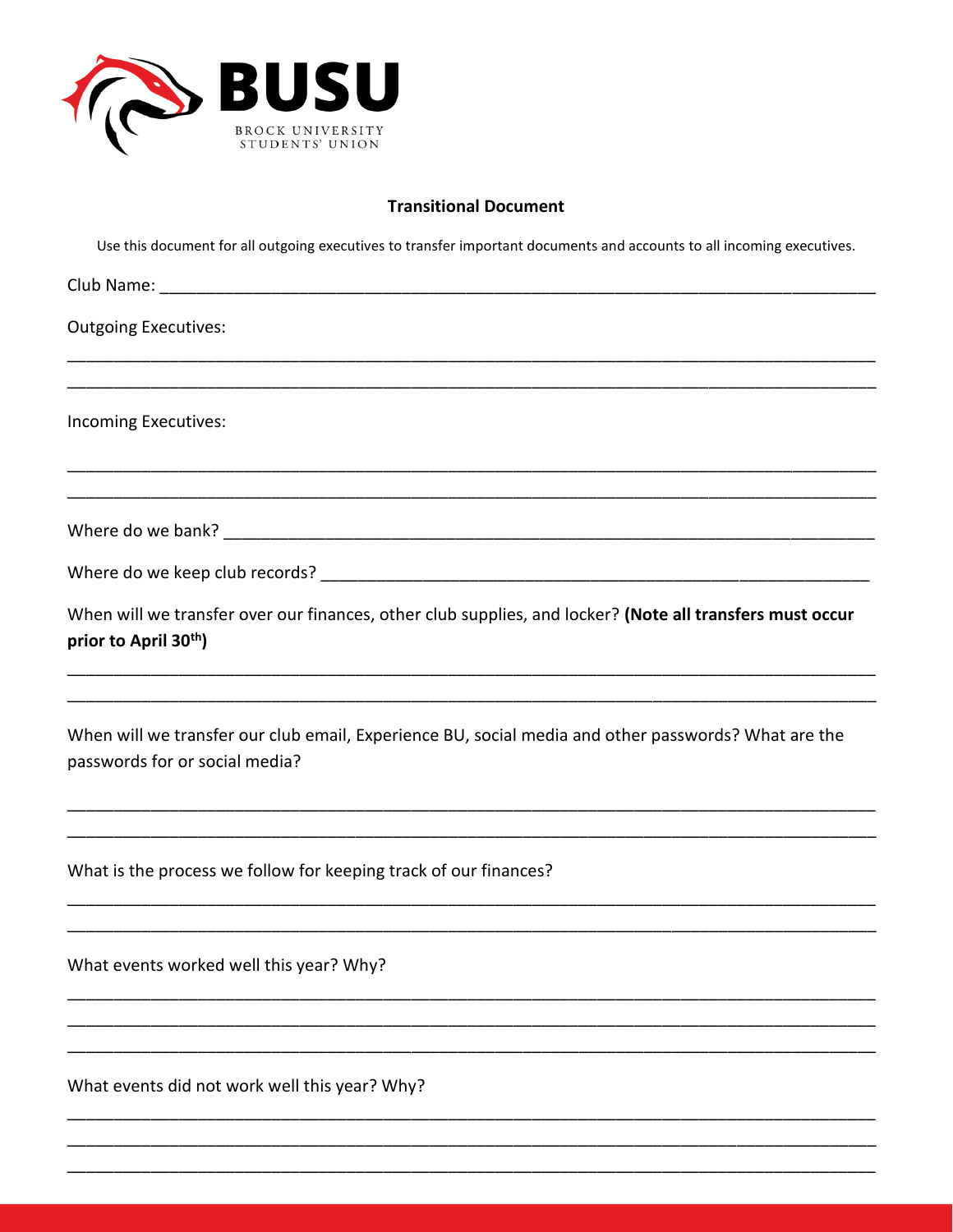

## **Transitional Document**

Use this document for all outgoing executives to transfer important documents and accounts to all incoming executives.

| <b>Outgoing Executives:</b>                                                                                                                          |
|------------------------------------------------------------------------------------------------------------------------------------------------------|
|                                                                                                                                                      |
| Incoming Executives:                                                                                                                                 |
|                                                                                                                                                      |
|                                                                                                                                                      |
|                                                                                                                                                      |
| When will we transfer over our finances, other club supplies, and locker? (Note all transfers must occur<br>prior to April 30 <sup>th</sup> )        |
|                                                                                                                                                      |
| When will we transfer our club email, Experience BU, social media and other passwords? What are the<br>passwords for or social media?                |
|                                                                                                                                                      |
| What is the process we follow for keeping track of our finances?<br>,我们就会在这里的,我们就会在这里的,我们就会在这里的时候,我们就会在这里的时候,我们就会在这里的时候,我们就会在这里的时候,我们就会在这里的时候,我们就会在这 |
|                                                                                                                                                      |
| What events worked well this year? Why?                                                                                                              |
|                                                                                                                                                      |
|                                                                                                                                                      |
| What events did not work well this year? Why?                                                                                                        |
|                                                                                                                                                      |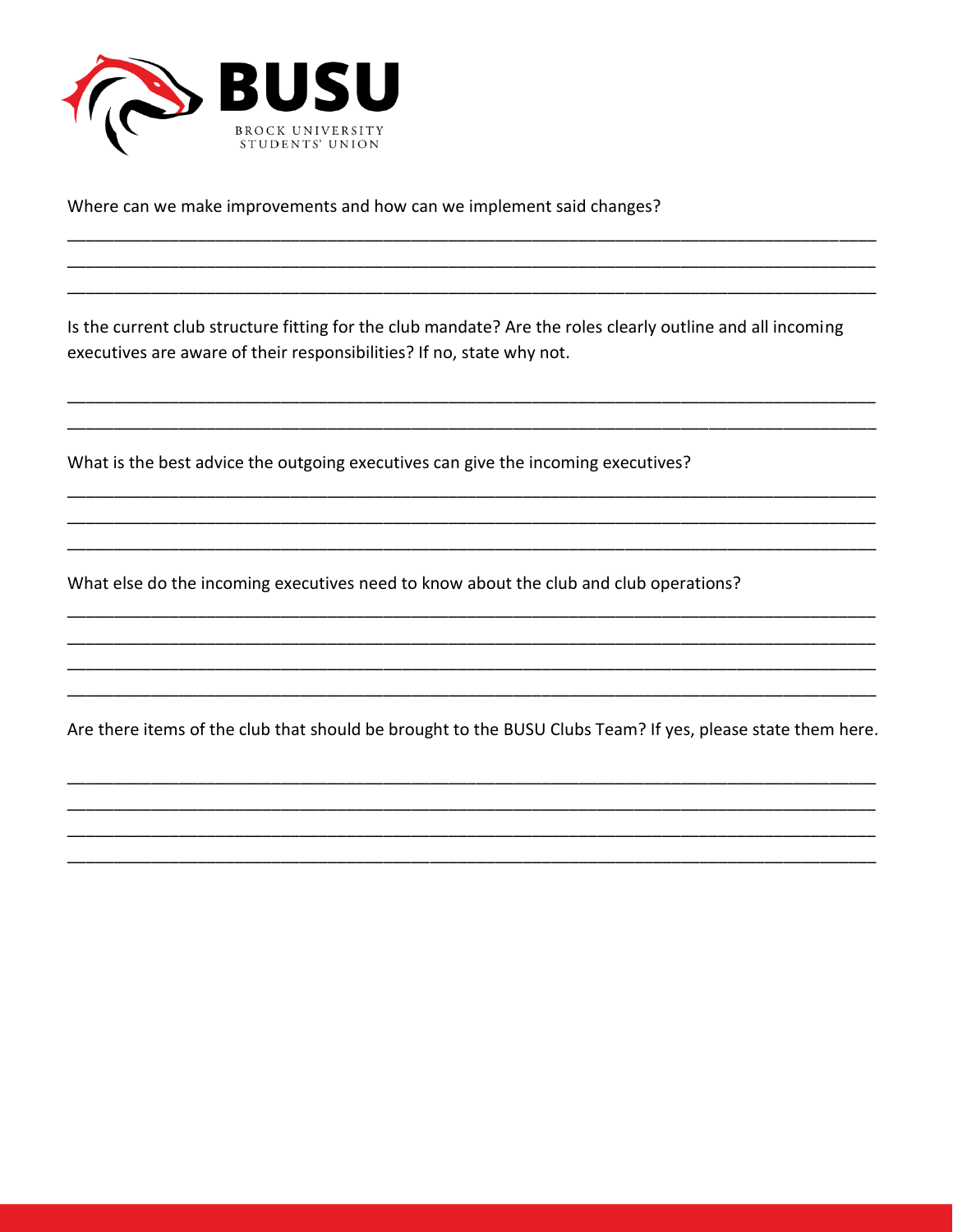

Where can we make improvements and how can we implement said changes?

Is the current club structure fitting for the club mandate? Are the roles clearly outline and all incoming executives are aware of their responsibilities? If no, state why not.

What is the best advice the outgoing executives can give the incoming executives?

What else do the incoming executives need to know about the club and club operations?

Are there items of the club that should be brought to the BUSU Clubs Team? If yes, please state them here.